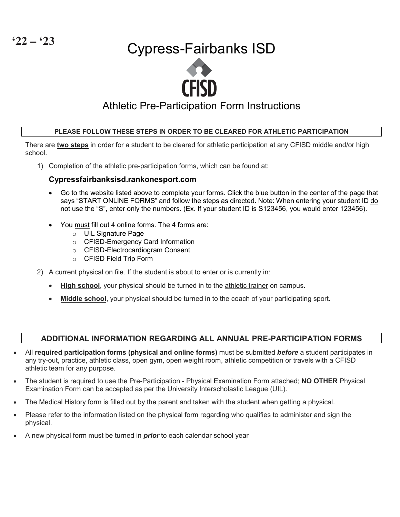# Cypress-Fairbanks ISD



# Athletic Pre-Participation Form Instructions

### **PLEASE FOLLOW THESE STEPS IN ORDER TO BE CLEARED FOR ATHLETIC PARTICIPATION**

There are **two steps** in order for a student to be cleared for athletic participation at any CFISD middle and/or high school.

1) Completion of the athletic pre-participation forms, which can be found at:

### **Cypressfairbanksisd.rankonesport.com**

- Go to the website listed above to complete your forms. Click the blue button in the center of the page that says "START ONLINE FORMS" and follow the steps as directed. Note: When entering your student ID do not use the "S", enter only the numbers. (Ex. If your student ID is S123456, you would enter 123456).
- You must fill out 4 online forms. The 4 forms are:
	- o UIL Signature Page
	- o CFISD-Emergency Card Information
	- o CFISD-Electrocardiogram Consent
	- o CFISD Field Trip Form
- 2) A current physical on file. If the student is about to enter or is currently in:
	- **High school**, your physical should be turned in to the athletic trainer on campus.
	- **Middle school**, your physical should be turned in to the coach of your participating sport.

### **ADDITIONAL INFORMATION REGARDING ALL ANNUAL PRE-PARTICIPATION FORMS**

- All **required participation forms (physical and online forms)** must be submitted *before* a student participates in any try-out, practice, athletic class, open gym, open weight room, athletic competition or travels with a CFISD athletic team for any purpose.
- The student is required to use the Pre-Participation Physical Examination Form attached; **NO OTHER** Physical Examination Form can be accepted as per the University Interscholastic League (UIL).
- The Medical History form is filled out by the parent and taken with the student when getting a physical.
- Please refer to the information listed on the physical form regarding who qualifies to administer and sign the physical.
- A new physical form must be turned in *prior* to each calendar school year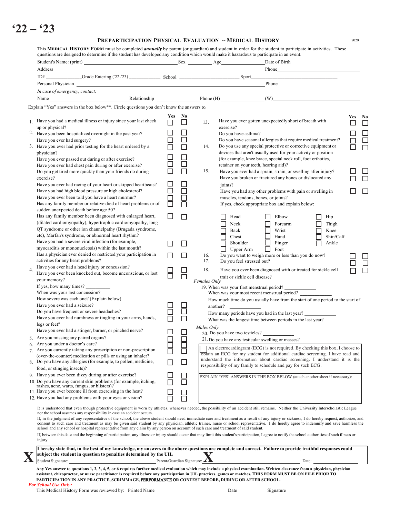# **'22 – '23**

#### **PREPARTICIPATION PHYSICAL EVALUATION -- MEDICAL HISTORY** <sup>2020</sup>

This **MEDICAL HISTORY FORM** must be completed *annually* by parent (or guardian) and student in order for the student to participate in activities. These questions are designed to determine if the student has developed any condition which would make it hazardous to participate in an event. Student's Name: (print) Sex Age Date of Birth Address Phone Phone Phone Phone Phone Phone Phone Phone Phone Phone Phone Phone Phone Phone Phone Phone Phone Phone Phone Phone Phone Phone Phone Phone Phone Phone Phone Phone Phone Phone Phone Phone Phone Phone Phone Phon Personal Physician Phone Personal Physician Phone Personal Physician Phone Personal Physician Phone Phone Phone Phone Phone Phone Phone Phone Phone Phone Phone Phone Phone Phone Phone Phone Phone Phone Phone Phone Phone Ph *In case of emergency, contact:* Name Relationship Phone (H) (W) If, in the judgment of any representative of the school, the above student should need immediate care and treatment as a result of any injury or sickness, I do hereby request, authorize, and consent to such care and treatment as may be given said student by any physician, athletic trainer, nurse or school representative. I do hereby agree to indemnify and save harmless the school and any school or hospital representative from any claim by any person on account of such care and treatment of said student. If, between this date and the beginning of participation, any illness or injury should occur that may limit this student's participation, I agree to notify the school authorities of such illness or injury. **I hereby state that, to the best of my knowledge, my answers to the above questions are complete and correct. Failure to provide truthful responses could**   $\bf{X}$  subject the student in question to penalties determined by the UIL  $_{\text{Parent/Guardian Signature:}}$ Student Signature: <u>New Student Signature:</u> Parent/Guardian Signature: 2 **1** Date: Any Yes answer to questions 1, 2, 3, 4, 5, or 6 requires further medical evaluation which may include a physical examination. Written clearance from a physician, physician assistant, chiropractor, or nurse practitioner is required before any participation in UIL practices, games or matches. THIS FORM MUST BE ON FILE PRIOR TO **PARTICIPATION IN ANY PRACTICE, SCRIMMAGE,** PERFORMANCE O**R CONTEST BEFORE, DURING OR AFTER SCHOOL.** 1. **Yes**  $\Box$ **No**  $\Box$  13. **Yes**  $\Box$ **No**  $\Box$ 2. Have you been hospitalized overnight in the past year?  $\Box$   $\Box$  Do you have asthma?  $\Box$  Do you have seasonal allergies that require medical treatment?  $\Box$ 3. Have you ever had prior testing for the heart ordered by a  $\Box$   $\Box$  14. Do you use any special protective or corrective equipment or  $\Box$ o o o o  $\Box$  15. Have you ever had a sprain, strain, or swelling after injury? o o o  $\Box$  $\Box$   $\Box$  Have you had any other problems with pain or swelling in  $\Box$ o o o o Have you ever gotten unexpectedly short of breath with exercise? Do you have asthma? Do you use any special protective or corrective equipment or devices that aren't usually used for your activity or position (for example, knee brace, special neck roll, foot orthotics, retainer on your teeth, hearing aid)? Have you broken or fractured any bones or dislocated any joints? muscles, tendons, bones, or joints? If yes, check appropriate box and explain below:  $\Box$   $\Box$   $\Box$  Head  $\Box$  Elbow  $\Box$  Hip H  $Neck$  Forearm Thigh Back Wrist Ree **O** Chest **C** Hand **or** Shin/Calf **O** Shoulder **C** Finger **O** Ankle Upper Arm Foot  $\Box$  16. 17. Do you want to weigh more or less than you do now? Do you feel stressed out? o o o П 4. **18.** Have you ever been diagnosed with or treated for sickle cell  $\Box$  trait or sickle cell disease? Have you ever been knocked out, become unconscious, or lost  $\Box$ *Females Only* 19. When was your first menstrual period? **\_\_\_\_\_\_\_\_\_\_\_\_\_** o o o o o  $\Box$ When was your most recent menstrual period? How much time do you usually have from the start of one period to the start of another? **\_\_\_\_\_\_\_\_\_\_\_\_\_** How many periods have you had in the last year? What was the longest time between periods in the last year? Have you had a medical illness or injury since your last check up or physical? Have you ever had surgery? physician? Have you ever passed out during or after exercise? Have you ever had chest pain during or after exercise? Do you get tired more quickly than your friends do during exercise? Have you ever had racing of your heart or skipped heartbeats? Have you had high blood pressure or high cholesterol? Have you ever been told you have a heart murmur? Has any family member or relative died of heart problems or of sudden unexpected death before age 50? Has any family member been diagnosed with enlarged heart, (dilated cardiomyopathy), hypertrophic cardiomyopathy, long QT syndrome or other ion channelpathy (Brugada syndrome, etc), Marfan's syndrome, or abnormal heart rhythm? Have you had a severe viral infection (for example, myocarditis or mononucleosis) within the last month? Has a physician ever denied or restricted your participation in activities for any heart problems? Have you ever had a head injury or concussion? your memory? If yes, how many times? When was your last concussion? How severe was each one? (Explain below) Have you ever had a seizure? Do you have frequent or severe headaches? Have you ever had numbness or tingling in your arms, hands, legs or feet? Have you ever had a stinger, burner, or pinched nerve?  $\Box$ 5. Are you missing any paired organs? Are you under a doctor's care? 7. Are you currently taking any prescription or non-prescription (over-the-counter) medication or pills or using an inhaler? o o 8. Do you have any allergies (for example, to pollen, medicine, food, or stinging insects)? o o 9. Have you ever been dizzy during or after exercise? 10. Do you have any current skin problems (for example, itching, rashes, acne, warts, fungus, or blisters)?  $\Box$ 11. Have you ever become ill from exercising in the heat? 12. Have you had any problems with your eyes or vision? Explain "Yes" answers in the box below\*\*. Circle questions you don't know the answers to. It is understood that even though protective equipment is worn by athletes, whenever needed, the possibility of an accident still remains. Neither the University Interscholastic League nor the school assumes any responsibility in case an accident occurs. *Males Only* 20. Do you have two testicles? **\_\_\_\_\_\_\_\_\_\_\_\_\_** 21. Do you have any testicular swelling or masses? \_\_\_\_\_\_\_\_\_\_\_\_\_ An electrocardiogram (ECG) is not required. By checking this box, I choose to obtain an ECG for my student for additional cardiac screening. I have read and understand the information about cardiac screening. I understand it is the responsibility of my family to schedule and pay for such ECG. EXPLAIN 'YES' ANSWERS IN THE BOX BELOW (attach another sheet if necessary): ID# **\_\_\_\_\_\_\_\_\_\_\_\_\_\_\_**Grade Entering ('22-'23) **\_\_\_\_\_\_\_\_\_\_\_\_\_** School \_\_\_\_\_\_\_\_\_\_\_\_\_\_\_\_\_\_\_\_\_\_\_\_\_ Sport\_\_\_\_\_\_\_\_\_\_\_\_\_\_\_\_\_\_\_\_\_\_\_\_\_\_\_\_\_\_\_\_\_\_\_\_

*For School Use Only:* This Medical History Form was reviewed by: Printed Name Date Date Date Signature

| ıte |  |  |  |
|-----|--|--|--|
|     |  |  |  |